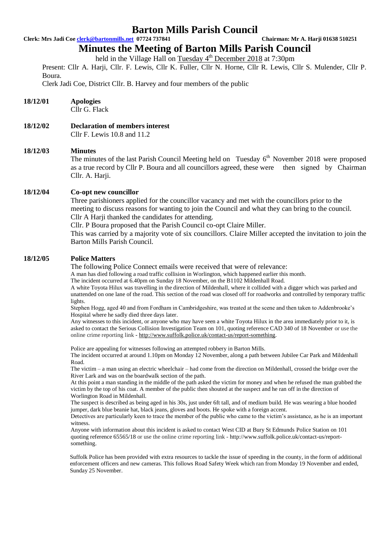## **Clerk: Mrs Jadi Coe clerk@bartonmills.net 07724 737841 Chairman: Mr A. Harji 01638 510251**

## **Minutes the Meeting of Barton Mills Parish Council**

held in the Village Hall on Tuesday 4<sup>th</sup> December 2018 at 7:30pm

Present: Cllr A. Harji, Cllr. F. Lewis, Cllr K. Fuller, Cllr N. Horne, Cllr R. Lewis, Cllr S. Mulender, Cllr P. Boura.

Clerk Jadi Coe, District Cllr. B. Harvey and four members of the public

## **18/12/01 Apologies**

Cllr G. Flack

**18/12/02 Declaration of members interest** Cllr F. Lewis 10.8 and 11.2

### **18/12/03 Minutes**

The minutes of the last Parish Council Meeting held on Tuesday  $6<sup>th</sup>$  November 2018 were proposed as a true record by Cllr P. Boura and all councillors agreed, these were then signed by Chairman Cllr. A. Harji.

### **18/12/04 Co-opt new councillor**

Three parishioners applied for the councillor vacancy and met with the councillors prior to the meeting to discuss reasons for wanting to join the Council and what they can bring to the council. Cllr A Harji thanked the candidates for attending.

Cllr. P Boura proposed that the Parish Council co-opt Claire Miller.

This was carried by a majority vote of six councillors. Claire Miller accepted the invitation to join the Barton Mills Parish Council.

### **18/12/05 Police Matters**

The following Police Connect emails were received that were of relevance:

A man has died following a road traffic collision in Worlington, which happened earlier this month.

The incident occurred at 6.40pm on Sunday 18 November, on the B1102 Mildenhall Road.

A white Toyota Hilux was travelling in the direction of Mildenhall, where it collided with a digger which was parked and unattended on one lane of the road. This section of the road was closed off for roadworks and controlled by temporary traffic lights.

Stephen Hogg, aged 40 and from Fordham in Cambridgeshire, was treated at the scene and then taken to Addenbrooke's Hospital where he sadly died three days later.

Any witnesses to this incident, or anyone who may have seen a white Toyota Hilux in the area immediately prior to it, is asked to contact the Serious Collision Investigation Team on 101, quoting reference CAD 340 of 18 November or use the online crime reporting link - [http://www.suffolk.police.uk/contact-us/report-something.](http://www.suffolk.police.uk/contact-us/report-something)

Police are appealing for witnesses following an attempted robbery in Barton Mills. The incident occurred at around 1.10pm on Monday 12 November, along a path between Jubilee Car Park and Mildenhall Road.

The victim – a man using an electric wheelchair – had come from the direction on Mildenhall, crossed the bridge over the River Lark and was on the boardwalk section of the path.

At this point a man standing in the middle of the path asked the victim for money and when he refused the man grabbed the victim by the top of his coat. A member of the public then shouted at the suspect and he ran off in the direction of Worlington Road in Mildenhall.

The suspect is described as being aged in his 30s, just under 6ft tall, and of medium build. He was wearing a blue hooded jumper, dark blue beanie hat, black jeans, gloves and boots. He spoke with a foreign accent.

Detectives are particularly keen to trace the member of the public who came to the victim's assistance, as he is an important witness.

Anyone with information about this incident is asked to contact West CID at Bury St Edmunds Police Station on 101 quoting reference 65565/18 or use the online crime reporting link - [http://www.suffolk.police.uk/contact-us/report](http://www.suffolk.police.uk/contact-us/report-%09%09%09something)[something.](http://www.suffolk.police.uk/contact-us/report-%09%09%09something)

Suffolk Police has been provided with extra resources to tackle the issue of speeding in the county, in the form of additional enforcement officers and new cameras. This follows Road Safety Week which ran from Monday 19 November and ended, Sunday 25 November.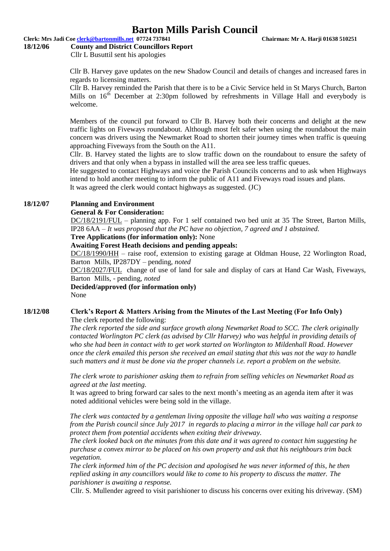## **Clerk: Mrs Jadi Coe clerk@bartonmills.net 07724 737841 Chairman: Mr A. Harji 01638 510251**

#### **18/12/06 County and District Councillors Report**

Cllr L Busuttil sent his apologies

Cllr B. Harvey gave updates on the new Shadow Council and details of changes and increased fares in regards to licensing matters.

Cllr B. Harvey reminded the Parish that there is to be a Civic Service held in St Marys Church, Barton Mills on  $16<sup>th</sup>$  December at 2:30pm followed by refreshments in Village Hall and everybody is welcome.

Members of the council put forward to Cllr B. Harvey both their concerns and delight at the new traffic lights on Fiveways roundabout. Although most felt safer when using the roundabout the main concern was drivers using the Newmarket Road to shorten their journey times when traffic is queuing approaching Fiveways from the South on the A11.

Cllr. B. Harvey stated the lights are to slow traffic down on the roundabout to ensure the safety of drivers and that only when a bypass in installed will the area see less traffic queues.

He suggested to contact Highways and voice the Parish Councils concerns and to ask when Highways intend to hold another meeting to inform the public of A11 and Fiveways road issues and plans.

It was agreed the clerk would contact highways as suggested. (JC)

## **18/12/07 Planning and Environment**

### **General & For Consideration:**

DC/18/2191/FUL – planning app. For 1 self contained two bed unit at 35 The Street, Barton Mills, IP28 6AA *– It was proposed that the PC have no objection, 7 agreed and 1 abstained.*

**Tree Applications (for information only):** None

**Awaiting Forest Heath decisions and pending appeals:**

DC/18/1990/HH – raise roof, extension to existing garage at Oldman House, 22 Worlington Road, Barton Mills, IP287DY – pending, *noted*

DC/18/2027/FUL change of use of land for sale and display of cars at Hand Car Wash, Fiveways, Barton Mills, - pending, *noted*

**Decided/approved (for information only)** None

## **18/12/08 Clerk's Report & Matters Arising from the Minutes of the Last Meeting (For Info Only)**

The clerk reported the following:

*The clerk reported the side and surface growth along Newmarket Road to SCC. The clerk originally contacted Worlington PC clerk (as advised by Cllr Harvey) who was helpful in providing details of who she had been in contact with to get work started on Worlington to Mildenhall Road. However once the clerk emailed this person she received an email stating that this was not the way to handle such matters and it must be done via the proper channels i.e. report a problem on the website.*

*The clerk wrote to parishioner asking them to refrain from selling vehicles on Newmarket Road as agreed at the last meeting.*

It was agreed to bring forward car sales to the next month's meeting as an agenda item after it was noted additional vehicles were being sold in the village.

*The clerk was contacted by a gentleman living opposite the village hall who was waiting a response from the Parish council since July 2017 in regards to placing a mirror in the village hall car park to protect them from potential accidents when exiting their driveway.*

*The clerk looked back on the minutes from this date and it was agreed to contact him suggesting he purchase a convex mirror to be placed on his own property and ask that his neighbours trim back vegetation.*

*The clerk informed him of the PC decision and apologised he was never informed of this, he then replied asking in any councillors would like to come to his property to discuss the matter. The parishioner is awaiting a response.*

Cllr. S. Mullender agreed to visit parishioner to discuss his concerns over exiting his driveway. (SM)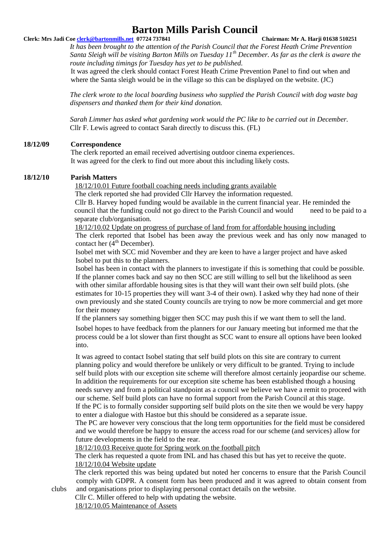## **Clerk: Mrs Jadi Coe clerk@bartonmills.net 07724 737841 Chairman: Mr A. Harji 01638 510251**

*It has been brought to the attention of the Parish Council that the Forest Heath Crime Prevention Santa Sleigh will be visiting Barton Mills on Tuesday 11th December. As far as the clerk is aware the route including timings for Tuesday has yet to be published.*

It was agreed the clerk should contact Forest Heath Crime Prevention Panel to find out when and where the Santa sleigh would be in the village so this can be displayed on the website. (JC)

*The clerk wrote to the local boarding business who supplied the Parish Council with dog waste bag dispensers and thanked them for their kind donation.*

*Sarah Limmer has asked what gardening work would the PC like to be carried out in December.* Cllr F. Lewis agreed to contact Sarah directly to discuss this. (FL)

## **18/12/09 Correspondence**

The clerk reported an email received advertising outdoor cinema experiences. It was agreed for the clerk to find out more about this including likely costs.

## **18/12/10 Parish Matters**

18/12/10.01 Future football coaching needs including grants available

The clerk reported she had provided Cllr Harvey the information requested. Cllr B. Harvey hoped funding would be available in the current financial year. He reminded the council that the funding could not go direct to the Parish Council and would need to be paid to a separate club/organisation.

18/12/10.02 Update on progress of purchase of land from for affordable housing including The clerk reported that Isobel has been away the previous week and has only now managed to contact her  $(4<sup>th</sup> December)$ .

Isobel met with SCC mid November and they are keen to have a larger project and have asked Isobel to put this to the planners.

Isobel has been in contact with the planners to investigate if this is something that could be possible. If the planner comes back and say no then SCC are still willing to sell but the likelihood as seen with other similar affordable housing sites is that they will want their own self build plots. (she estimates for 10-15 properties they will want 3-4 of their own). I asked why they had none of their own previously and she stated County councils are trying to now be more commercial and get more for their money

If the planners say something bigger then SCC may push this if we want them to sell the land.

Isobel hopes to have feedback from the planners for our January meeting but informed me that the process could be a lot slower than first thought as SCC want to ensure all options have been looked into.

It was agreed to contact Isobel stating that self build plots on this site are contrary to current planning policy and would therefore be unlikely or very difficult to be granted. Trying to include self build plots with our exception site scheme will therefore almost certainly jeopardise our scheme. In addition the requirements for our exception site scheme has been established though a housing needs survey and from a political standpoint as a council we believe we have a remit to proceed with our scheme. Self build plots can have no formal support from the Parish Council at this stage. If the PC is to formally consider supporting self build plots on the site then we would be very happy

to enter a dialogue with Hastoe but this should be considered as a separate issue.

The PC are however very conscious that the long term opportunities for the field must be considered and we would therefore be happy to ensure the access road for our scheme (and services) allow for future developments in the field to the rear.

18/12/10.03 Receive quote for Spring work on the football pitch

The clerk has requested a quote from INL and has chased this but has yet to receive the quote. 18/12/10.04 Website update

The clerk reported this was being updated but noted her concerns to ensure that the Parish Council comply with GDPR. A consent form has been produced and it was agreed to obtain consent from clubs and organisations prior to displaying personal contact details on the website.

Cllr C. Miller offered to help with updating the website.

18/12/10.05 Maintenance of Assets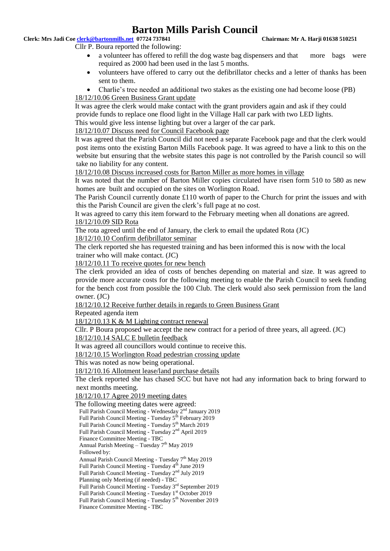## **Clerk: Mrs Jadi Coe clerk@bartonmills.net 07724 737841 Chairman: Mr A. Harji 01638 510251**

Cllr P. Boura reported the following:

- a volunteer has offered to refill the dog waste bag dispensers and that more bags were required as 2000 had been used in the last 5 months.
- volunteers have offered to carry out the defibrillator checks and a letter of thanks has been sent to them.
- Charlie's tree needed an additional two stakes as the existing one had become loose (PB) 18/12/10.06 Green Business Grant update

It was agree the clerk would make contact with the grant providers again and ask if they could provide funds to replace one flood light in the Village Hall car park with two LED lights. This would give less intense lighting but over a larger of the car park.

18/12/10.07 Discuss need for Council Facebook page

It was agreed that the Parish Council did not need a separate Facebook page and that the clerk would post items onto the existing Barton Mills Facebook page. It was agreed to have a link to this on the website but ensuring that the website states this page is not controlled by the Parish council so will take no liability for any content.

18/12/10.08 Discuss increased costs for Barton Miller as more homes in village

It was noted that the number of Barton Miller copies circulated have risen form 510 to 580 as new homes are built and occupied on the sites on Worlington Road.

The Parish Council currently donate £110 worth of paper to the Church for print the issues and with this the Parish Council are given the clerk's full page at no cost.

It was agreed to carry this item forward to the February meeting when all donations are agreed. 18/12/10.09 SID Rota

The rota agreed until the end of January, the clerk to email the updated Rota (JC)

18/12/10.10 Confirm defibrillator seminar

The clerk reported she has requested training and has been informed this is now with the local trainer who will make contact. (JC)

18/12/10.11 To receive quotes for new bench

The clerk provided an idea of costs of benches depending on material and size. It was agreed to provide more accurate costs for the following meeting to enable the Parish Council to seek funding for the bench cost from possible the 100 Club. The clerk would also seek permission from the land owner. (JC)

18/12/10.12 Receive further details in regards to Green Business Grant

Repeated agenda item

18/12/10.13 K & M Lighting contract renewal

Cllr. P Boura proposed we accept the new contract for a period of three years, all agreed. (JC)

18/12/10.14 SALC E bulletin feedback

It was agreed all councillors would continue to receive this.

18/12/10.15 Worlington Road pedestrian crossing update

This was noted as now being operational.

18/12/10.16 Allotment lease/land purchase details

The clerk reported she has chased SCC but have not had any information back to bring forward to next months meeting.

18/12/10.17 Agree 2019 meeting dates

```
The following meeting dates were agreed:
```
Full Parish Council Meeting - Wednesday 2<sup>nd</sup> January 2019

Full Parish Council Meeting - Tuesday 5<sup>th</sup> February 2019

Full Parish Council Meeting - Tuesday 5<sup>th</sup> March 2019

Full Parish Council Meeting - Tuesday 2nd April 2019

Finance Committee Meeting - TBC

Annual Parish Meeting – Tuesday  $7^{\rm th}$  May 2019

Followed by:

Annual Parish Council Meeting - Tuesday 7<sup>th</sup> May 2019

Full Parish Council Meeting - Tuesday 4<sup>th</sup> June 2019

Full Parish Council Meeting - Tuesday 2nd July 2019

Planning only Meeting (if needed) - TBC

Full Parish Council Meeting - Tuesday 3rd September 2019

Full Parish Council Meeting - Tuesday 1st October 2019

Full Parish Council Meeting - Tuesday 5<sup>th</sup> November 2019 Finance Committee Meeting - TBC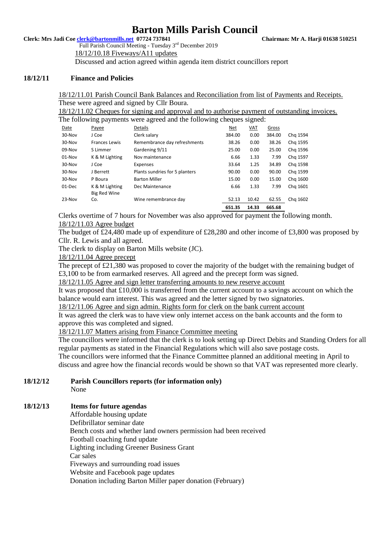**Clerk: Mrs Jadi Coe clerk@bartonmills.net 07724 737841 Chairman: Mr A. Harji 01638 510251**

Full Parish Council Meeting - Tuesday 3rd December 2019 18/12/10.18 Fiveways/A11 updates

Discussed and action agreed within agenda item district councillors report

## **18/12/11 Finance and Policies**

18/12/11.01 Parish Council Bank Balances and Reconciliation from list of Payments and Receipts. These were agreed and signed by Cllr Boura.

18/12/11.02 Cheques for signing and approval and to authorise payment of outstanding invoices. The following payments were agreed and the following cheques signed:

|        |                      |                                | 651.35     | 14.33      | 665.68 |          |
|--------|----------------------|--------------------------------|------------|------------|--------|----------|
| 23-Nov | Co.                  | Wine remembrance day           | 52.13      | 10.42      | 62.55  | Chg 1602 |
|        | Big Red Wine         |                                |            |            |        |          |
| 01-Dec | K & M Lighting       | Dec Maintenance                | 6.66       | 1.33       | 7.99   | Chg 1601 |
| 30-Nov | P Boura              | <b>Barton Miller</b>           | 15.00      | 0.00       | 15.00  | Chg 1600 |
| 30-Nov | J Berrett            | Plants sundries for 5 planters | 90.00      | 0.00       | 90.00  | Chg 1599 |
| 30-Nov | J Coe                | Expenses                       | 33.64      | 1.25       | 34.89  | Chg 1598 |
| 01-Nov | K & M Lighting       | Nov maintenance                | 6.66       | 1.33       | 7.99   | Chg 1597 |
| 09-Nov | S Limmer             | Gardening 9/11                 | 25.00      | 0.00       | 25.00  | Chg 1596 |
| 30-Nov | <b>Frances Lewis</b> | Remembrance day refreshments   | 38.26      | 0.00       | 38.26  | Chg 1595 |
| 30-Nov | J Coe                | Clerk salary                   | 384.00     | 0.00       | 384.00 | Chg 1594 |
| Date   | Payee                | <b>Details</b>                 | <u>Net</u> | <u>VAT</u> | Gross  |          |
|        |                      |                                |            |            |        |          |

Clerks overtime of 7 hours for November was also approved for payment the following month. 18/12/11.03 Agree budget

The budget of £24,480 made up of expenditure of £28,280 and other income of £3,800 was proposed by Cllr. R. Lewis and all agreed.

The clerk to display on Barton Mills website (JC).

## 18/12/11.04 Agree precept

The precept of £21,380 was proposed to cover the majority of the budget with the remaining budget of £3,100 to be from earmarked reserves. All agreed and the precept form was signed.

18/12/11.05 Agree and sign letter transferring amounts to new reserve account

It was proposed that £10,000 is transferred from the current account to a savings account on which the balance would earn interest. This was agreed and the letter signed by two signatories.

18/12/11.06 Agree and sign admin. Rights form for clerk on the bank current account

It was agreed the clerk was to have view only internet access on the bank accounts and the form to approve this was completed and signed.

## 18/12/11.07 Matters arising from Finance Committee meeting

The councillors were informed that the clerk is to look setting up Direct Debits and Standing Orders for all regular payments as stated in the Financial Regulations which will also save postage costs.

The councillors were informed that the Finance Committee planned an additional meeting in April to discuss and agree how the financial records would be shown so that VAT was represented more clearly.

#### **18/12/12 Parish Councillors reports (for information only)** None

## **18/12/13 Items for future agendas**

Affordable housing update Defibrillator seminar date Bench costs and whether land owners permission had been received Football coaching fund update Lighting including Greener Business Grant Car sales Fiveways and surrounding road issues Website and Facebook page updates Donation including Barton Miller paper donation (February)